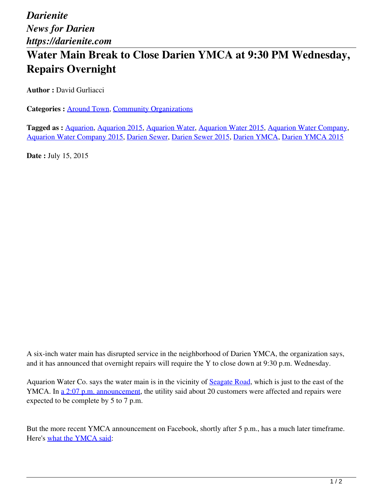## **Water Main Break to Close Darien YMCA at 9:30 PM Wednesday, Repairs Overnight**

**Author : David Gurliacci** 

**Categories :** [Around Town,](https://darienite.com/category/news/around-town) Community Organizations

**Tagged as :** Aquarion, Aquarion 2015, Aquarion Water, Aquarion Water 2015, Aquarion Water Company, Aquarion Water Company 2015, Darien Sewer, Darien Sewer 2015, Darien YMCA, Darien YMCA 2015

**Date :** July 15, 2015

A six-inch water main has disrupted service in the neighborhood of Darien YMCA, the organization says, and it has announced that overnight repairs will require the Y to close down at 9:30 p.m. Wednesday.

Aquarion Water Co. says the water main is in the vicinity of Seagate Road, which is just to the east of the YMCA. In a 2:07 p.m. announcement, the utility said about 20 customers were affected and repairs were expected to be complete by 5 to 7 p.m.

But the more recent YMCA announcement on Facebook, shortly after 5 p.m., has a much later timeframe. Here's what the YMCA said: